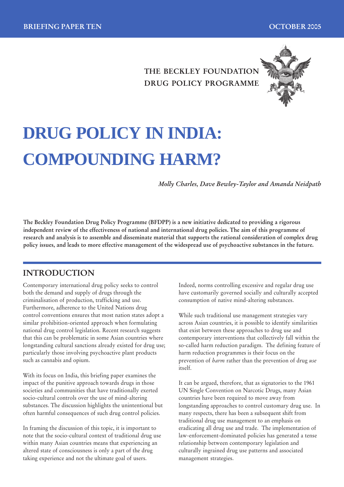## **THE BECKLEY FOUNDATION DRUG POLICY PROGRAMME**



# **DRUG POLICY IN INDIA: COMPOUNDING HARM?**

*Molly Charles, Dave Bewley-Taylor and Amanda Neidpath*

**The Beckley Foundation Drug Policy Programme (BFDPP) is a new initiative dedicated to providing a rigorous independent review of the effectiveness of national and international drug policies. The aim of this programme of research and analysis is to assemble and disseminate material that supports the rational consideration of complex drug policy issues, and leads to more effective management of the widespread use of psychoactive substances in the future.**

### **INTRODUCTION**

Contemporary international drug policy seeks to control both the demand and supply of drugs through the criminalisation of production, trafficking and use. Furthermore, adherence to the United Nations drug control conventions ensures that most nation states adopt a similar prohibition-oriented approach when formulating national drug control legislation. Recent research suggests that this can be problematic in some Asian countries where longstanding cultural sanctions already existed for drug use; particularly those involving psychoactive plant products such as cannabis and opium.

With its focus on India, this briefing paper examines the impact of the punitive approach towards drugs in those societies and communities that have traditionally exerted socio-cultural controls over the use of mind-altering substances. The discussion highlights the unintentional but often harmful consequences of such drug control policies.

In framing the discussion of this topic, it is important to note that the socio-cultural context of traditional drug use within many Asian countries means that experiencing an altered state of consciousness is only a part of the drug taking experience and not the ultimate goal of users.

Indeed, norms controlling excessive and regular drug use have customarily governed socially and culturally accepted consumption of native mind-altering substances.

While such traditional use management strategies vary across Asian countries, it is possible to identify similarities that exist between these approaches to drug use and contemporary interventions that collectively fall within the so-called harm reduction paradigm. The defining feature of harm reduction programmes is their focus on the prevention of *harm* rather than the prevention of drug *use* itself.

It can be argued, therefore, that as signatories to the 1961 UN Single Convention on Narcotic Drugs, many Asian countries have been required to move away from longstanding approaches to control customary drug use. In many respects, there has been a subsequent shift from traditional drug use management to an emphasis on eradicating all drug use and trade. The implementation of law-enforcement-dominated policies has generated a tense relationship between contemporary legislation and culturally ingrained drug use patterns and associated management strategies.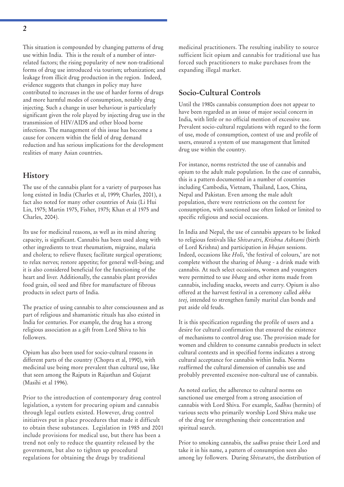This situation is compounded by changing patterns of drug use within India. This is the result of a number of interrelated factors; the rising popularity of new non-traditional forms of drug use introduced via tourism; urbanization; and leakage from illicit drug production in the region. Indeed, evidence suggests that changes in policy may have contributed to increases in the use of harder forms of drugs and more harmful modes of consumption, notably drug injecting. Such a change in user behaviour is particularly significant given the role played by injecting drug use in the transmission of HIV/AIDS and other blood borne infections. The management of this issue has become a cause for concern within the field of drug demand reduction and has serious implications for the development realities of many Asian countries**.**

#### **History**

The use of the cannabis plant for a variety of purposes has long existed in India (Charles et al, 1999; Charles, 2001), a fact also noted for many other countries of Asia (Li Hui Lin, 1975; Martin 1975, Fisher, 1975; Khan et al 1975 and Charles, 2004).

Its use for medicinal reasons, as well as its mind altering capacity, is significant. Cannabis has been used along with other ingredients to treat rheumatism, migraine, malaria and cholera; to relieve fluxes; facilitate surgical operations; to relax nerves; restore appetite; for general well-being; and it is also considered beneficial for the functioning of the heart and liver. Additionally, the cannabis plant provides food grain, oil seed and fibre for manufacture of fibrous products in select parts of India.

The practice of using cannabis to alter consciousness and as part of religious and shamanistic rituals has also existed in India for centuries. For example, the drug has a strong religious association as a gift from Lord Shiva to his followers.

Opium has also been used for socio-cultural reasons in different parts of the country (Chopra et al, 1990), with medicinal use being more prevalent than cultural use, like that seen among the Rajputs in Rajasthan and Gujarat (Masihi et al 1996).

Prior to the introduction of contemporary drug control legislation, a system for procuring opium and cannabis through legal outlets existed. However, drug control initiatives put in place procedures that made it difficult to obtain these substances. Legislation in 1985 and 2001 include provisions for medical use, but there has been a trend not only to reduce the quantity released by the government, but also to tighten up procedural regulations for obtaining the drugs by traditional

medicinal practitioners. The resulting inability to source sufficient licit opium and cannabis for traditional use has forced such practitioners to make purchases from the expanding illegal market.

#### **Socio-Cultural Controls**

Until the 1980s cannabis consumption does not appear to have been regarded as an issue of major social concern in India, with little or no official mention of excessive use. Prevalent socio-cultural regulations with regard to the form of use, mode of consumption, context of use and profile of users, ensured a system of use management that limited drug use within the country.

For instance, norms restricted the use of cannabis and opium to the adult male population. In the case of cannabis, this is a pattern documented in a number of countries including Cambodia, Vietnam, Thailand, Laos, China, Nepal and Pakistan. Even among the male adult population, there were restrictions on the context for consumption, with sanctioned use often linked or limited to specific religious and social occasions.

In India and Nepal, the use of cannabis appears to be linked to religious festivals like *Shivaratri*, *Krishna Ashtami* (birth of Lord Krishna) and participation in *bhajan* sessions. Indeed, occasions like *Holi*, 'the festival of colours,' are not complete without the sharing of *bhang* - a drink made with cannabis. At such select occasions, women and youngsters were permitted to use *bhang* and other items made from cannabis, including snacks, sweets and curry. Opium is also offered at the harvest festival in a ceremony called *akha teej,* intended to strengthen family marital clan bonds and put aside old feuds.

It is this specification regarding the profile of users and a desire for cultural confirmation that ensured the existence of mechanisms to control drug use. The provision made for women and children to consume cannabis products in select cultural contexts and in specified forms indicates a strong cultural acceptance for cannabis within India. Norms reaffirmed the cultural dimension of cannabis use and probably prevented excessive non-cultural use of cannabis.

As noted earlier, the adherence to cultural norms on sanctioned use emerged from a strong association of cannabis with Lord Shiva. For example, *Sadhus* (hermits) of various sects who primarily worship Lord Shiva make use of the drug for strengthening their concentration and spiritual search.

Prior to smoking cannabis, the *sadhus* praise their Lord and take it in his name, a pattern of consumption seen also among lay followers. During *Shivaratri*, the distribution of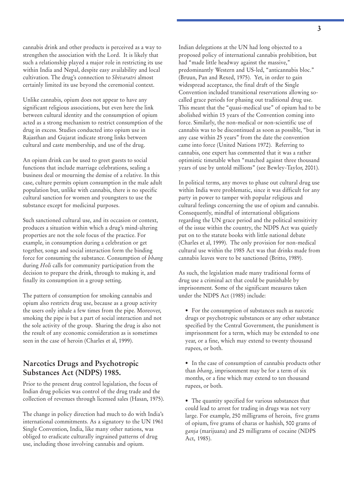cannabis drink and other products is perceived as a way to strengthen the association with the Lord. It is likely that such a relationship played a major role in restricting its use within India and Nepal, despite easy availability and local cultivation. The drug's connection to *Shivaratri* almost certainly limited its use beyond the ceremonial context.

Unlike cannabis, opium does not appear to have any significant religious associations, but even here the link between cultural identity and the consumption of opium acted as a strong mechanism to restrict consumption of the drug in excess. Studies conducted into opium use in Rajasthan and Gujarat indicate strong links between cultural and caste membership, and use of the drug.

An opium drink can be used to greet guests to social functions that include marriage celebrations, sealing a business deal or mourning the demise of a relative. In this case, culture permits opium consumption in the male adult population but, unlike with cannabis, there is no specific cultural sanction for women and youngsters to use the substance except for medicinal purposes.

Such sanctioned cultural use, and its occasion or context, produces a situation within which a drug's mind-altering properties are not the sole focus of the practice. For example, in consumption during a celebration or get together, songs and social interaction form the binding force for consuming the substance. Consumption of *bhang* during *Holi* calls for community participation from the decision to prepare the drink, through to making it, and finally its consumption in a group setting.

The pattern of consumption for smoking cannabis and opium also restricts drug use, because as a group activity the users only inhale a few times from the pipe. Moreover, smoking the pipe is but a part of social interaction and not the sole activity of the group. Sharing the drug is also not the result of any economic consideration as is sometimes seen in the case of heroin (Charles et al, 1999).

#### **Narcotics Drugs and Psychotropic Substances Act (NDPS) 1985.**

Prior to the present drug control legislation, the focus of Indian drug policies was control of the drug trade and the collection of revenues through licensed sales (Hasan, 1975).

The change in policy direction had much to do with India's international commitments. As a signatory to the UN 1961 Single Convention, India, like many other nations, was obliged to eradicate culturally ingrained patterns of drug use, including those involving cannabis and opium.

Indian delegations at the UN had long objected to a proposed policy of international cannabis prohibition, but had "made little headway against the massive," predominantly Western and US-led, "anticannabis bloc." (Bruun, Pan and Rexed, 1975). Yet, in order to gain widespread acceptance, the final draft of the Single Convention included transitional reservations allowing socalled grace periods for phasing out traditional drug use. This meant that the "quasi-medical use" of opium had to be abolished within 15 years of the Convention coming into force. Similarly, the non-medical or non-scientific use of cannabis was to be discontinued as soon as possible, "but in any case within 25 years" from the date the convention came into force (United Nations 1972). Referring to cannabis, one expert has commented that it was a rather optimistic timetable when "matched against three thousand years of use by untold millions" (see Bewley-Taylor, 2001).

In political terms, any moves to phase out cultural drug use within India were problematic, since it was difficult for any party in power to tamper with popular religious and cultural feelings concerning the use of opium and cannabis. Consequently, mindful of international obligations regarding the UN grace period and the political sensitivity of the issue within the country, the NDPS Act was quietly put on to the statute books with little national debate (Charles et al, 1999). The only provision for non-medical cultural use within the 1985 Act was that drinks made from cannabis leaves were to be sanctioned (Britto, 1989).

As such, the legislation made many traditional forms of drug use a criminal act that could be punishable by imprisonment. Some of the significant measures taken under the NDPS Act (1985) include:

- For the consumption of substances such as narcotic drugs or psychotropic substances or any other substance specified by the Central Government, the punishment is imprisonment for a term, which may be extended to one year, or a fine, which may extend to twenty thousand rupees, or both.
- In the case of consumption of cannabis products other than *bhang*, imprisonment may be for a term of six months, or a fine which may extend to ten thousand rupees, or both.
- The quantity specified for various substances that could lead to arrest for trading in drugs was not very large. For example, 250 milligrams of heroin, five grams of opium, five grams of charas or hashish, 500 grams of *ganja* (marijuana) and 25 milligrams of cocaine (NDPS Act, 1985).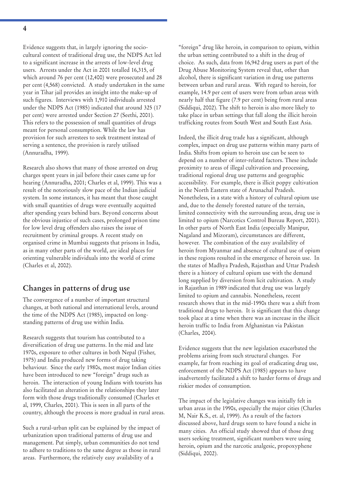**4**

Evidence suggests that, in largely ignoring the sociocultural context of traditional drug use, the NDPS Act led to a significant increase in the arrests of low-level drug users. Arrests under the Act in 2001 totalled 16,315, of which around 76 per cent (12,400) were prosecuted and 28 per cent (4,568) convicted. A study undertaken in the same year in Tihar jail provides an insight into the make-up of such figures. Interviews with 1,910 individuals arrested under the NDPS Act (1985) indicated that around 325 (17 per cent) were arrested under Section 27 (Seethi, 2001). This refers to the possession of small quantities of drugs meant for personal consumption. While the law has provision for such arrestees to seek treatment instead of serving a sentence, the provision is rarely utilised (Annuradha, 1999).

Research also shows that many of those arrested on drug charges spent years in jail before their cases came up for hearing (Annuradha, 2001; Charles et al, 1999). This was a result of the notoriously slow pace of the Indian judicial system. In some instances, it has meant that those caught with small quantities of drugs were eventually acquitted after spending years behind bars. Beyond concerns about the obvious injustice of such cases, prolonged prison time for low level drug offenders also raises the issue of recruitment by criminal groups. A recent study on organised crime in Mumbai suggests that prisons in India, as in many other parts of the world, are ideal places for orienting vulnerable individuals into the world of crime (Charles et al, 2002).

#### **Changes in patterns of drug use**

The convergence of a number of important structural changes, at both national and international levels, around the time of the NDPS Act (1985), impacted on longstanding patterns of drug use within India.

Research suggests that tourism has contributed to a diversification of drug use patterns. In the mid and late 1970s, exposure to other cultures in both Nepal (Fisher, 1975) and India produced new forms of drug taking behaviour. Since the early 1980s, most major Indian cities have been introduced to new "foreign" drugs such as heroin. The interaction of young Indians with tourists has also facilitated an alteration in the relationships they later form with those drugs traditionally consumed (Charles et al, 1999, Charles, 2001). This is seen in all parts of the country, although the process is more gradual in rural areas.

Such a rural-urban split can be explained by the impact of urbanization upon traditional patterns of drug use and management. Put simply, urban communities do not tend to adhere to traditions to the same degree as those in rural areas. Furthermore, the relatively easy availability of a

"foreign" drug like heroin, in comparison to opium, within the urban setting contributed to a shift in the drug of choice. As such, data from 16,942 drug users as part of the Drug Abuse Monitoring System reveal that, other than alcohol, there is significant variation in drug use patterns between urban and rural areas. With regard to heroin, for example, 14.9 per cent of users were from urban areas with nearly half that figure (7.9 per cent) being from rural areas (Siddiqui, 2002). The shift to heroin is also more likely to take place in urban settings that fall along the illicit heroin trafficking routes from South West and South East Asia.

Indeed, the illicit drug trade has a significant, although complex, impact on drug use patterns within many parts of India. Shifts from opium to heroin use can be seen to depend on a number of inter-related factors. These include proximity to areas of illegal cultivation and processing, traditional regional drug use patterns and geographic accessibility. For example, there is illicit poppy cultivation in the North Eastern state of Arunachal Pradesh. Nonetheless, in a state with a history of cultural opium use and, due to the densely forested nature of the terrain, limited connectivity with the surrounding areas, drug use is limited to opium (Narcotics Control Bureau Report, 2001). In other parts of North East India (especially Manipur, Nagaland and Mizoram), circumstances are different, however. The combination of the easy availability of heroin from Myanmar and absence of cultural use of opium in these regions resulted in the emergence of heroin use. In the states of Madhya Pradesh, Rajasthan and Uttar Pradesh there is a history of cultural opium use with the demand long supplied by diversion from licit cultivation. A study in Rajasthan in 1989 indicated that drug use was largely limited to opium and cannabis. Nonetheless, recent research shows that in the mid-1990s there was a shift from traditional drugs to heroin. It is significant that this change took place at a time when there was an increase in the illicit heroin traffic to India from Afghanistan via Pakistan (Charles, 2004).

Evidence suggests that the new legislation exacerbated the problems arising from such structural changes. For example, far from reaching its goal of eradicating drug use, enforcement of the NDPS Act (1985) appears to have inadvertently facilitated a shift to harder forms of drugs and riskier modes of consumption.

The impact of the legislative changes was initially felt in urban areas in the 1990s, especially the major cities (Charles M, Nair K.S., et. al, 1999). As a result of the factors discussed above, hard drugs seem to have found a niche in many cities. An official study showed that of those drug users seeking treatment, significant numbers were using heroin, opium and the narcotic analgesic, propoxyphene (Siddiqui, 2002).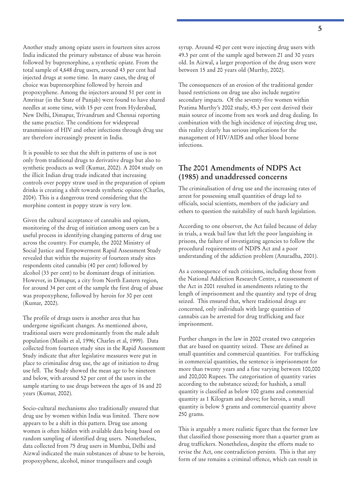Another study among opiate users in fourteen sites across India indicated the primary substance of abuse was heroin followed by buprenorphine, a synthetic opiate. From the total sample of 4,648 drug users, around 43 per cent had injected drugs at some time. In many cases, the drug of choice was buprenorphine followed by heroin and propoxyphene. Among the injectors around 51 per cent in Amritsar (in the State of Punjab) were found to have shared needles at some time, with 15 per cent from Hyderabad, New Delhi, Dimapur, Trivandrum and Chennai reporting the same practice. The conditions for widespread transmission of HIV and other infections through drug use are therefore increasingly present in India.

It is possible to see that the shift in patterns of use is not only from traditional drugs to derivative drugs but also to synthetic products as well (Kumar, 2002). A 2004 study on the illicit Indian drug trade indicated that increasing controls over poppy straw used in the preparation of opium drinks is creating a shift towards synthetic opiates (Charles, 2004). This is a dangerous trend considering that the morphine content in poppy straw is very low.

Given the cultural acceptance of cannabis and opium, monitoring of the drug of initiation among users can be a useful process in identifying changing patterns of drug use across the country. For example, the 2002 Ministry of Social Justice and Empowerment Rapid Assessment Study revealed that within the majority of fourteen study sites respondents cited cannabis (40 per cent) followed by alcohol (33 per cent) to be dominant drugs of initiation. However, in Dimapur, a city from North Eastern region, for around 34 per cent of the sample the first drug of abuse was propoxyphene, followed by heroin for 30 per cent (Kumar, 2002).

The profile of drugs users is another area that has undergone significant changes. As mentioned above, traditional users were predominantly from the male adult population (Masihi et al, 1996; Charles et al, 1999). Data collected from fourteen study sites in the Rapid Assessment Study indicate that after legislative measures were put in place to criminalise drug use, the age of initiation to drug use fell. The Study showed the mean age to be nineteen and below, with around 52 per cent of the users in the sample starting to use drugs between the ages of 16 and 20 years (Kumar, 2002).

Socio-cultural mechanisms also traditionally ensured that drug use by women within India was limited. There now appears to be a shift in this pattern. Drug use among women is often hidden with available data being based on random sampling of identified drug users. Nonetheless, data collected from 75 drug users in Mumbai, Delhi and Aizwal indicated the main substances of abuse to be heroin, propoxyphene, alcohol, minor tranquilisers and cough

syrup. Around 40 per cent were injecting drug users with 49.3 per cent of the sample aged between 21 and 30 years old. In Aizwal, a larger proportion of the drug users were between 15 and 20 years old (Murthy, 2002).

The consequences of an erosion of the traditional gender based restrictions on drug use also include negative secondary impacts. Of the seventy-five women within Pratima Murthy's 2002 study, 45.3 per cent derived their main source of income from sex work and drug dealing. In combination with the high incidence of injecting drug use, this reality clearly has serious implications for the management of HIV/AIDS and other blood borne infections.

#### **The 2001 Amendments of NDPS Act (1985) and unaddressed concerns**

The criminalisation of drug use and the increasing rates of arrest for possessing small quantities of drugs led to officials, social scientists, members of the judiciary and others to question the suitability of such harsh legislation.

According to one observer, the Act failed because of delay in trials, a weak bail law that left the poor languishing in prisons, the failure of investigating agencies to follow the procedural requirements of NDPS Act and a poor understanding of the addiction problem (Anuradha, 2001).

As a consequence of such criticisms, including those from the National Addiction Research Centre, a reassessment of the Act in 2001 resulted in amendments relating to the length of imprisonment and the quantity and type of drug seized. This ensured that, where traditional drugs are concerned, only individuals with large quantities of cannabis can be arrested for drug trafficking and face imprisonment.

Further changes in the law in 2002 created two categories that are based on quantity seized. These are defined as small quantities and commercial quantities. For trafficking in commercial quantities, the sentence is imprisonment for more than twenty years and a fine varying between 100,000 and 200,000 Rupees. The categorisation of quantity varies according to the substance seized; for hashish, a small quantity is classified as below 100 grams and commercial quantity as 1 Kilogram and above; for heroin, a small quantity is below 5 grams and commercial quantity above 250 grams.

This is arguably a more realistic figure than the former law that classified those possessing more than a quarter gram as drug traffickers. Nonetheless, despite the efforts made to revise the Act, one contradiction persists. This is that any form of use remains a criminal offence, which can result in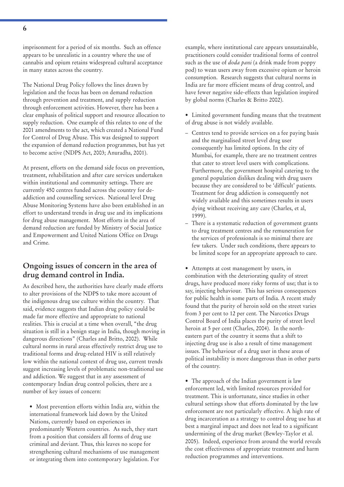imprisonment for a period of six months. Such an offence appears to be unrealistic in a country where the use of cannabis and opium retains widespread cultural acceptance in many states across the country.

The National Drug Policy follows the lines drawn by legislation and the focus has been on demand reduction through prevention and treatment, and supply reduction through enforcement activities. However, there has been a clear emphasis of political support and resource allocation to supply reduction. One example of this relates to one of the 2001 amendments to the act, which created a National Fund for Control of Drug Abuse. This was designed to support the expansion of demand reduction programmes, but has yet to become active (NDPS Act, 2003; Anuradha, 2001).

At present, efforts on the demand side focus on prevention, treatment, rehabilitation and after care services undertaken within institutional and community settings. There are currently 450 centres funded across the country for deaddiction and counselling services. National level Drug Abuse Monitoring Systems have also been established in an effort to understand trends in drug use and its implications for drug abuse management. Most efforts in the area of demand reduction are funded by Ministry of Social Justice and Empowerment and United Nations Office on Drugs and Crime.

#### **Ongoing issues of concern in the area of drug demand control in India.**

As described here, the authorities have clearly made efforts to alter provisions of the NDPS to take more account of the indigenous drug use culture within the country. That said, evidence suggests that Indian drug policy could be made far more effective and appropriate to national realities. This is crucial at a time when overall, "the drug situation is still in a benign stage in India, though moving in dangerous directions" (Charles and Britto, 2002). While cultural norms in rural areas effectively restrict drug use to traditional forms and drug-related HIV is still relatively low within the national context of drug use, current trends suggest increasing levels of problematic non-traditional use and addiction. We suggest that in any assessment of contemporary Indian drug control policies, there are a number of key issues of concern:

• Most prevention efforts within India are, within the international framework laid down by the United Nations, currently based on experiences in predominantly Western countries. As such, they start from a position that considers all forms of drug use criminal and deviant. Thus, this leaves no scope for strengthening cultural mechanisms of use management or integrating them into contemporary legislation. For

example, where institutional care appears unsustainable, practitioners could consider traditional forms of control such as the use of *doda pani* (a drink made from poppy pod) to wean users away from excessive opium or heroin consumption. Research suggests that cultural norms in India are far more efficient means of drug control, and have fewer negative side-effects than legislation inspired by global norms (Charles & Britto 2002).

- Limited government funding means that the treatment of drug abuse is not widely available.
- Centres tend to provide services on a fee paying basis and the marginalised street level drug user consequently has limited options. In the city of Mumbai, for example, there are no treatment centres that cater to street level users with complications. Furthermore, the government hospital catering to the general population dislikes dealing with drug users because they are considered to be 'difficult' patients. Treatment for drug addiction is consequently not widely available and this sometimes results in users dying without receiving any care (Charles, et al, 1999).
- There is a systematic reduction of government grants to drug treatment centres and the remuneration for the services of professionals is so minimal there are few takers. Under such conditions, there appears to be limited scope for an appropriate approach to care.

• Attempts at cost management by users, in combination with the deteriorating quality of street drugs, have produced more risky forms of use; that is to say, injecting behaviour. This has serious consequences for public health in some parts of India. A recent study found that the purity of heroin sold on the street varies from 3 per cent to 12 per cent. The Narcotics Drugs Control Board of India places the purity of street level heroin at 5 per cent (Charles, 2004). In the northeastern part of the country it seems that a shift to injecting drug use is also a result of time management issues. The behaviour of a drug user in these areas of political instability is more dangerous than in other parts of the country.

• The approach of the Indian government is law enforcement led, with limited resources provided for treatment. This is unfortunate, since studies in other cultural settings show that efforts dominated by the law enforcement are not particularly effective. A high rate of drug incarceration as a strategy to control drug use has at best a marginal impact and does not lead to a significant undermining of the drug market (Bewley-Taylor et al. 2005). Indeed, experience from around the world reveals the cost effectiveness of appropriate treatment and harm reduction programmes and interventions.